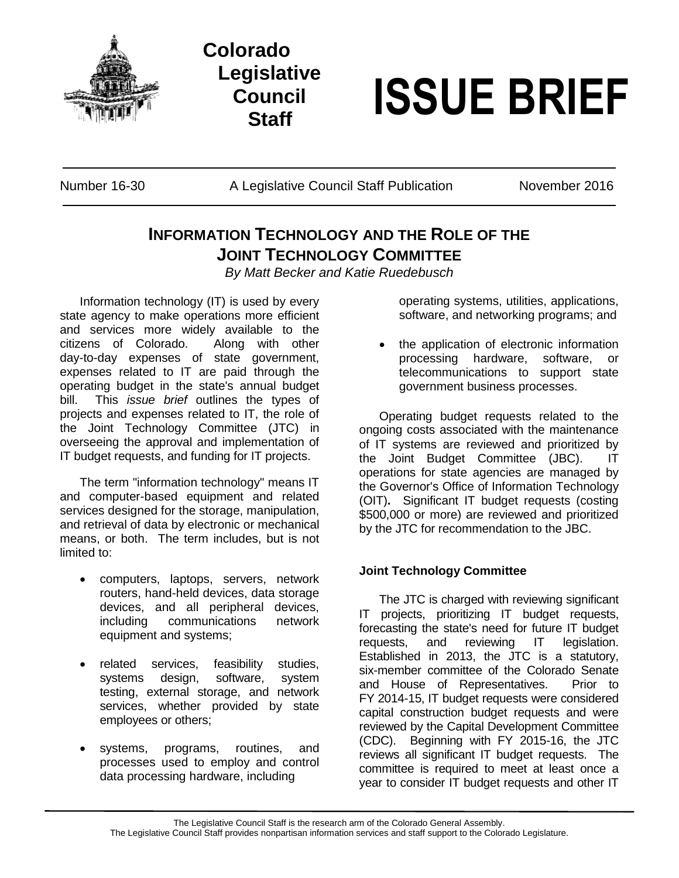

**Colorado Legislative Council**



Number 16-30 A Legislative Council Staff Publication November 2016

## **INFORMATION TECHNOLOGY AND THE ROLE OF THE JOINT TECHNOLOGY COMMITTEE**

*By Matt Becker and Katie Ruedebusch*

Information technology (IT) is used by every state agency to make operations more efficient and services more widely available to the citizens of Colorado. Along with other day-to-day expenses of state government, expenses related to IT are paid through the operating budget in the state's annual budget bill. This *issue brief* outlines the types of projects and expenses related to IT, the role of the Joint Technology Committee (JTC) in overseeing the approval and implementation of IT budget requests, and funding for IT projects.

The term "information technology" means IT and computer-based equipment and related services designed for the storage, manipulation, and retrieval of data by electronic or mechanical means, or both. The term includes, but is not limited to:

- computers, laptops, servers, network routers, hand-held devices, data storage devices, and all peripheral devices, including communications network equipment and systems;
- related services, feasibility studies, systems design, software, system testing, external storage, and network services, whether provided by state employees or others;
- systems, programs, routines, and processes used to employ and control data processing hardware, including

operating systems, utilities, applications, software, and networking programs; and

 the application of electronic information processing hardware, software, or telecommunications to support state government business processes.

Operating budget requests related to the ongoing costs associated with the maintenance of IT systems are reviewed and prioritized by the Joint Budget Committee (JBC). IT operations for state agencies are managed by the Governor's Office of Information Technology (OIT)**.** Significant IT budget requests (costing \$500,000 or more) are reviewed and prioritized by the JTC for recommendation to the JBC.

## **Joint Technology Committee**

The JTC is charged with reviewing significant IT projects, prioritizing IT budget requests, forecasting the state's need for future IT budget requests, and reviewing IT legislation. Established in 2013, the JTC is a statutory, six-member committee of the Colorado Senate and House of Representatives. Prior to FY 2014-15, IT budget requests were considered capital construction budget requests and were reviewed by the Capital Development Committee (CDC). Beginning with FY 2015-16, the JTC reviews all significant IT budget requests. The committee is required to meet at least once a year to consider IT budget requests and other IT